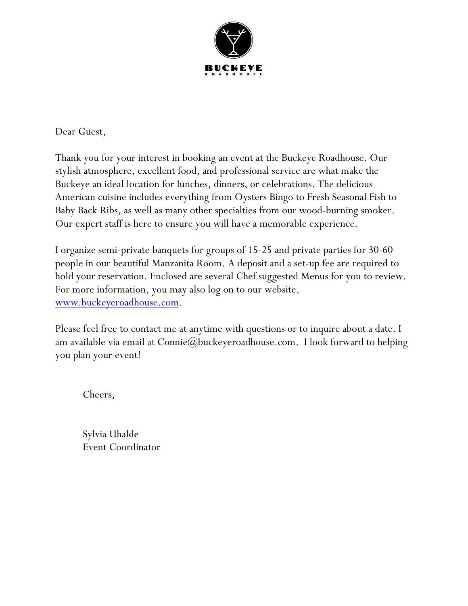

Dear Guest,

Thank you for your interest in booking an event at the Buckeye Roadhouse. Our stylish atmosphere, excellent food, and professional service are what make the Buckeye an ideal location for lunches, dinners, or celebrations. The delicious American cuisine includes everything from Oysters Bingo to Fresh Seasonal Fish to Baby Back Ribs, as well as many other specialties from our wood-burning smoker. Our expert staff is here to ensure you will have a memorable experience.

I organize semi-private banquets for groups of 15-25 and private parties for 30-60 people in our beautiful Manzanita Room. A deposit and a set-up fee are required to hold your reservation. Enclosed are several Chef suggested Menus for you to review. For more information, you may also log on to our website, www.buckeyeroadhouse.com.

Please feel free to contact me at anytime with questions or to inquire about a date. I am available via email at Connie@buckeyeroadhouse.com. I look forward to helping you plan your event!

Cheers,

Sylvia Uhalde Event Coordinator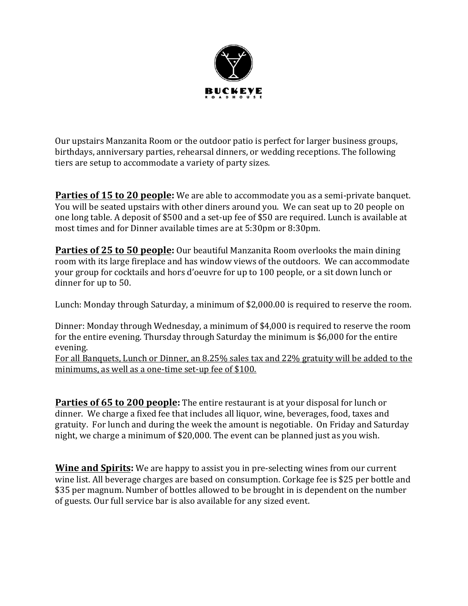

Our upstairs Manzanita Room or the outdoor patio is perfect for larger business groups, birthdays, anniversary parties, rehearsal dinners, or wedding receptions. The following tiers are setup to accommodate a variety of party sizes.

**Parties of 15 to 20 people:** We are able to accommodate you as a semi-private banquet. You will be seated upstairs with other diners around you. We can seat up to 20 people on one long table. A deposit of \$500 and a set-up fee of \$50 are required. Lunch is available at most times and for Dinner available times are at 5:30pm or 8:30pm.

**Parties of 25 to 50 people:** Our beautiful Manzanita Room overlooks the main dining room with its large fireplace and has window views of the outdoors. We can accommodate your group for cocktails and hors d'oeuvre for up to 100 people, or a sit down lunch or dinner for up to 50.

Lunch: Monday through Saturday, a minimum of \$2,000.00 is required to reserve the room.

Dinner: Monday through Wednesday, a minimum of \$4,000 is required to reserve the room for the entire evening. Thursday through Saturday the minimum is  $$6,000$  for the entire evening. 

For all Banquets, Lunch or Dinner, an 8.25% sales tax and 22% gratuity will be added to the minimums, as well as a one-time set-up fee of \$100.

**Parties of 65 to 200 people:** The entire restaurant is at your disposal for lunch or dinner. We charge a fixed fee that includes all liquor, wine, beverages, food, taxes and gratuity. For lunch and during the week the amount is negotiable. On Friday and Saturday night, we charge a minimum of \$20,000. The event can be planned just as you wish.

**Wine and Spirits:** We are happy to assist you in pre-selecting wines from our current wine list. All beverage charges are based on consumption. Corkage fee is \$25 per bottle and \$35 per magnum. Number of bottles allowed to be brought in is dependent on the number of guests. Our full service bar is also available for any sized event.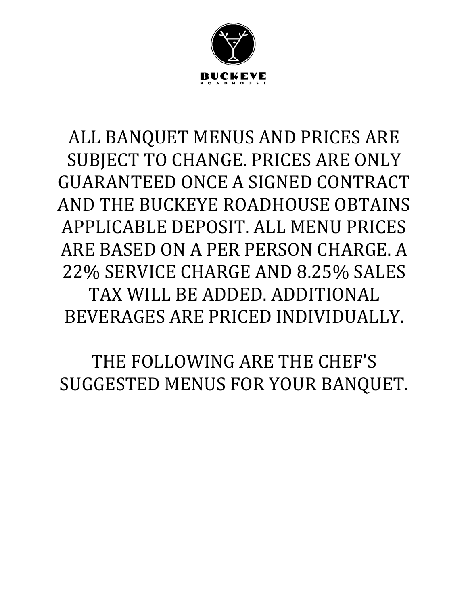

# ALL BANQUET MENUS AND PRICES ARE SUBJECT TO CHANGE. PRICES ARE ONLY GUARANTEED ONCE A SIGNED CONTRACT AND THE BUCKEYE ROADHOUSE OBTAINS APPLICABLE DEPOSIT. ALL MENU PRICES ARE BASED ON A PER PERSON CHARGE. A 22% SERVICE CHARGE AND 8.25% SALES TAX WILL BE ADDED. ADDITIONAL BEVERAGES ARE PRICED INDIVIDUALLY.

THE FOLLOWING ARE THE CHEF'S SUGGESTED MENUS FOR YOUR BANQUET.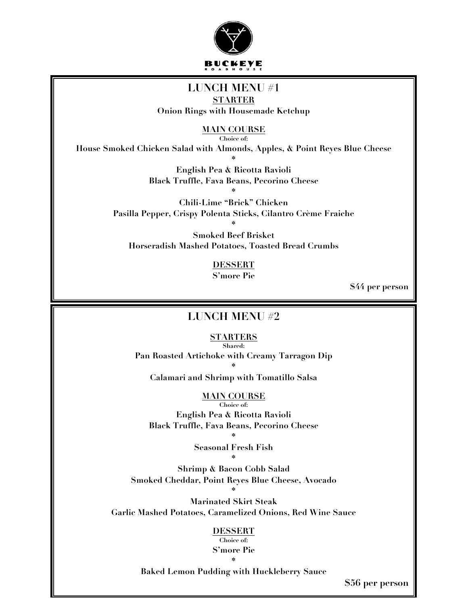

### **LUNCH MENU #1**

**STARTER Onion Rings with Housemade Ketchup**

**MAIN COURSE**

**Choice of:**

**House Smoked Chicken Salad with Almonds, Apples, & Point Reyes Blue Cheese**

**\* English Pea & Ricotta Ravioli Black Truffle, Fava Beans, Pecorino Cheese \***

**Chili-Lime "Brick" Chicken Pasilla Pepper, Crispy Polenta Sticks, Cilantro Crème Fraiche** 

**\* Smoked Beef Brisket Horseradish Mashed Potatoes, Toasted Bread Crumbs**

> **DESSERT S'more Pie**

> > **\$44 per person**

#### **LUNCH MENU #2**

**STARTERS Shared:**

**Pan Roasted Artichoke with Creamy Tarragon Dip \***

**Calamari and Shrimp with Tomatillo Salsa**

#### **MAIN COURSE**

**Choice of: English Pea & Ricotta Ravioli Black Truffle, Fava Beans, Pecorino Cheese** 

> **\* Seasonal Fresh Fish \***

**Shrimp & Bacon Cobb Salad Smoked Cheddar, Point Reyes Blue Cheese, Avocado \***

**Marinated Skirt Steak Garlic Mashed Potatoes, Caramelized Onions, Red Wine Sauce** 

#### **DESSERT**

**Choice of: S'more Pie \***

**Baked Lemon Pudding with Huckleberry Sauce**

**\$56 per person**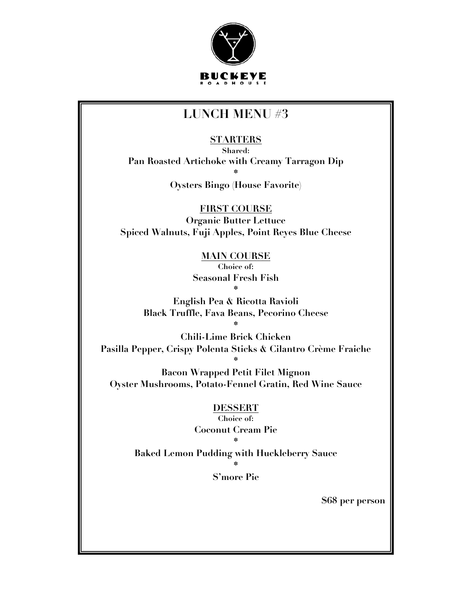

### **LUNCH MENU #3**

**STARTERS**

**Shared: Pan Roasted Artichoke with Creamy Tarragon Dip \***

**Oysters Bingo (House Favorite)**

**FIRST COURSE Organic Butter Lettuce Spiced Walnuts, Fuji Apples, Point Reyes Blue Cheese**

> **MAIN COURSE Choice of: Seasonal Fresh Fish \***

**English Pea & Ricotta Ravioli Black Truffle, Fava Beans, Pecorino Cheese** 

**\* Chili-Lime Brick Chicken Pasilla Pepper, Crispy Polenta Sticks & Cilantro Crème Fraiche**

**\* Bacon Wrapped Petit Filet Mignon Oyster Mushrooms, Potato-Fennel Gratin, Red Wine Sauce**

> **DESSERT Choice of: Coconut Cream Pie \***

**Baked Lemon Pudding with Huckleberry Sauce**

**\* S'more Pie**

**\$68 per person**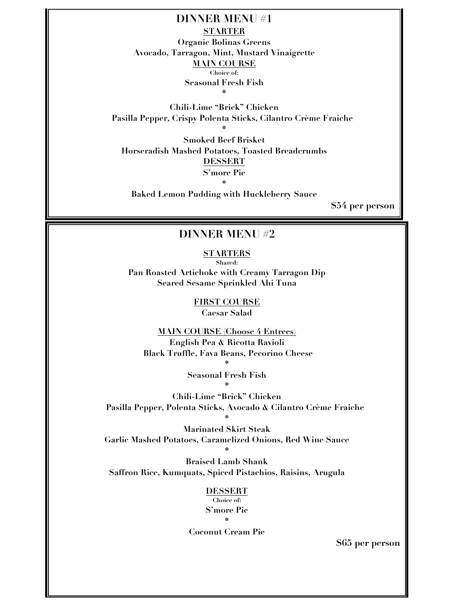**DINNER MENU #1 STARTER Organic Bolinas Greens Avocado, Tarragon, Mint, Mustard Vinaigrette MAIN COURSE Choice of: Seasonal Fresh Fish \***

**Chili-Lime "Brick" Chicken Pasilla Pepper, Crispy Polenta Sticks, Cilantro Crème Fraiche \***

**Smoked Beef Brisket Horseradish Mashed Potatoes, Toasted Breadcrumbs DESSERT S'more Pie \***

**Baked Lemon Pudding with Huckleberry Sauce**

**\$54 per person**

#### **DINNER MENU #2**

**STARTERS Shared:**

**Pan Roasted Artichoke with Creamy Tarragon Dip Seared Sesame Sprinkled Ahi Tuna**

> **FIRST COURSE Caesar Salad**

**MAIN COURSE (Choose 4 Entrees) English Pea & Ricotta Ravioli Black Truffle, Fava Beans, Pecorino Cheese** 

> **\* Seasonal Fresh Fish \***

**Chili-Lime "Brick" Chicken Pasilla Pepper, Polenta Sticks, Avocado & Cilantro Crème Fraiche** 

**Marinated Skirt Steak Garlic Mashed Potatoes, Caramelized Onions, Red Wine Sauce**

**\***

**Braised Lamb Shank Saffron Rice, Kumquats, Spiced Pistachios, Raisins, Arugula** 

**\***

**DESSERT Choice of: S'more Pie \***

**Coconut Cream Pie**

**\$65 per person**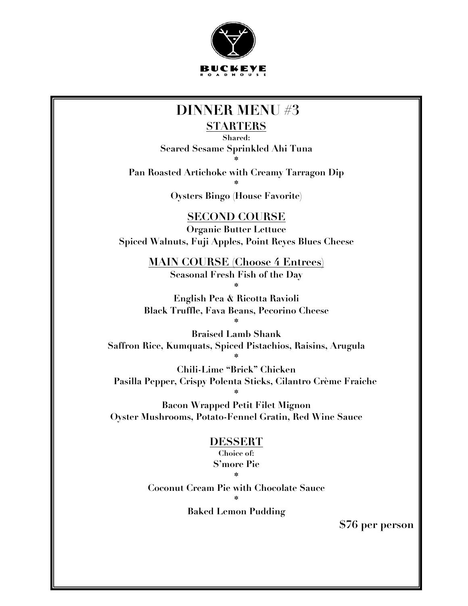

### **DINNER MENU #3**

#### **STARTERS**

**Shared: Seared Sesame Sprinkled Ahi Tuna \***

**Pan Roasted Artichoke with Creamy Tarragon Dip \***

**Oysters Bingo (House Favorite)**

**SECOND COURSE**

**Organic Butter Lettuce Spiced Walnuts, Fuji Apples, Point Reyes Blues Cheese**

> **MAIN COURSE (Choose 4 Entrees) Seasonal Fresh Fish of the Day \***

**English Pea & Ricotta Ravioli Black Truffle, Fava Beans, Pecorino Cheese \***

**Braised Lamb Shank Saffron Rice, Kumquats, Spiced Pistachios, Raisins, Arugula** 

**\* Chili-Lime "Brick" Chicken Pasilla Pepper, Crispy Polenta Sticks, Cilantro Crème Fraiche \***

**Bacon Wrapped Petit Filet Mignon Oyster Mushrooms, Potato-Fennel Gratin, Red Wine Sauce**

#### **DESSERT**

**Choice of: S'more Pie \***

**Coconut Cream Pie with Chocolate Sauce \***

**Baked Lemon Pudding**

**\$76 per person**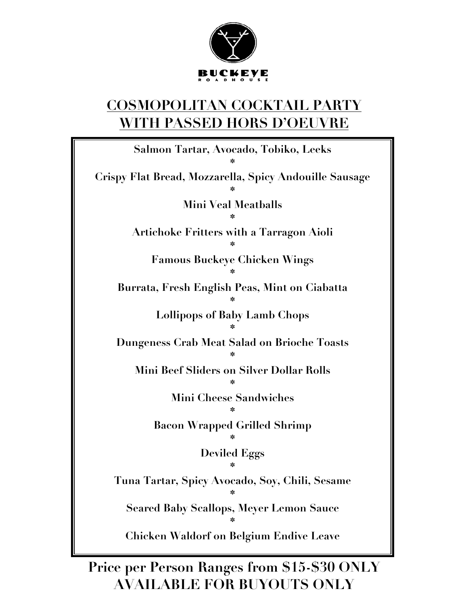

## **COSMOPOLITAN COCKTAIL PARTY WITH PASSED HORS D'OEUVRE**

**Salmon Tartar, Avocado, Tobiko, Leeks \* Crispy Flat Bread, Mozzarella, Spicy Andouille Sausage \* Mini Veal Meatballs \* Artichoke Fritters with a Tarragon Aioli \* Famous Buckeye Chicken Wings \* Burrata, Fresh English Peas, Mint on Ciabatta \* Lollipops of Baby Lamb Chops \* Dungeness Crab Meat Salad on Brioche Toasts \* Mini Beef Sliders on Silver Dollar Rolls \* Mini Cheese Sandwiches \* Bacon Wrapped Grilled Shrimp \* Deviled Eggs \* Tuna Tartar, Spicy Avocado, Soy, Chili, Sesame \* Seared Baby Scallops, Meyer Lemon Sauce \* Chicken Waldorf on Belgium Endive Leave**

**Price per Person Ranges from \$15-\$30 ONLY AVAILABLE FOR BUYOUTS ONLY**